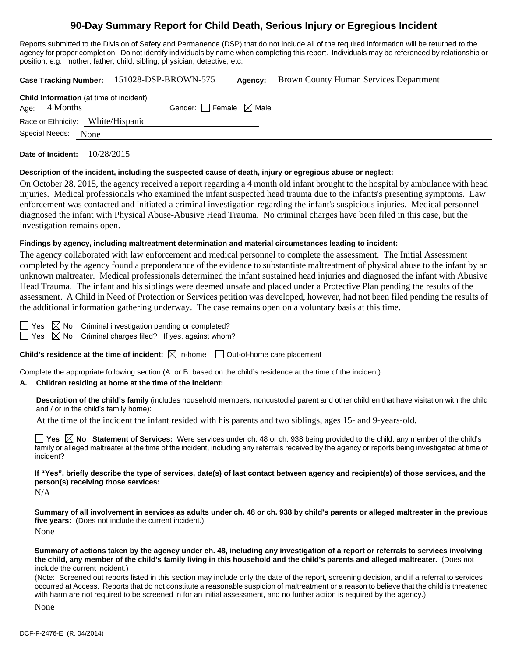# **90-Day Summary Report for Child Death, Serious Injury or Egregious Incident**

Reports submitted to the Division of Safety and Permanence (DSP) that do not include all of the required information will be returned to the agency for proper completion. Do not identify individuals by name when completing this report. Individuals may be referenced by relationship or position; e.g., mother, father, child, sibling, physician, detective, etc.

| Case Tracking Number: 151028-DSP-BROWN-575 | <b>Agency:</b> Brown County Human Services Department |
|--------------------------------------------|-------------------------------------------------------|
|                                            |                                                       |

|                     | <b>Child Information</b> (at time of incident) |                                 |  |
|---------------------|------------------------------------------------|---------------------------------|--|
| Age: $4$ Months     |                                                | Gender: Female $\boxtimes$ Male |  |
|                     | Race or Ethnicity: White/Hispanic              |                                 |  |
| Special Needs: None |                                                |                                 |  |
|                     |                                                |                                 |  |

**Date of Incident:** 10/28/2015

### **Description of the incident, including the suspected cause of death, injury or egregious abuse or neglect:**

On October 28, 2015, the agency received a report regarding a 4 month old infant brought to the hospital by ambulance with head injuries. Medical professionals who examined the infant suspected head trauma due to the infants's presenting symptoms. Law enforcement was contacted and initiated a criminal investigation regarding the infant's suspicious injuries. Medical personnel diagnosed the infant with Physical Abuse-Abusive Head Trauma. No criminal charges have been filed in this case, but the investigation remains open.

## **Findings by agency, including maltreatment determination and material circumstances leading to incident:**

The agency collaborated with law enforcement and medical personnel to complete the assessment. The Initial Assessment completed by the agency found a preponderance of the evidence to substantiate maltreatment of physical abuse to the infant by an unknown maltreater. Medical professionals determined the infant sustained head injuries and diagnosed the infant with Abusive Head Trauma. The infant and his siblings were deemed unsafe and placed under a Protective Plan pending the results of the assessment. A Child in Need of Protection or Services petition was developed, however, had not been filed pending the results of the additional information gathering underway. The case remains open on a voluntary basis at this time.

 $\Box$  Yes  $\boxtimes$  No Criminal investigation pending or completed?

 $\Box$  Yes  $\boxtimes$  No Criminal charges filed? If yes, against whom?

**Child's residence at the time of incident:**  $\boxtimes$  In-home  $\Box$  Out-of-home care placement

Complete the appropriate following section (A. or B. based on the child's residence at the time of the incident).

# **A. Children residing at home at the time of the incident:**

**Description of the child's family** (includes household members, noncustodial parent and other children that have visitation with the child and / or in the child's family home):

At the time of the incident the infant resided with his parents and two siblings, ages 15- and 9-years-old.

■ Yes △ No Statement of Services: Were services under ch. 48 or ch. 938 being provided to the child, any member of the child's family or alleged maltreater at the time of the incident, including any referrals received by the agency or reports being investigated at time of incident?

**If "Yes", briefly describe the type of services, date(s) of last contact between agency and recipient(s) of those services, and the person(s) receiving those services:** 

N/A

**Summary of all involvement in services as adults under ch. 48 or ch. 938 by child's parents or alleged maltreater in the previous five years:** (Does not include the current incident.) None

**Summary of actions taken by the agency under ch. 48, including any investigation of a report or referrals to services involving the child, any member of the child's family living in this household and the child's parents and alleged maltreater.** (Does not include the current incident.)

(Note: Screened out reports listed in this section may include only the date of the report, screening decision, and if a referral to services occurred at Access. Reports that do not constitute a reasonable suspicion of maltreatment or a reason to believe that the child is threatened with harm are not required to be screened in for an initial assessment, and no further action is required by the agency.)

None